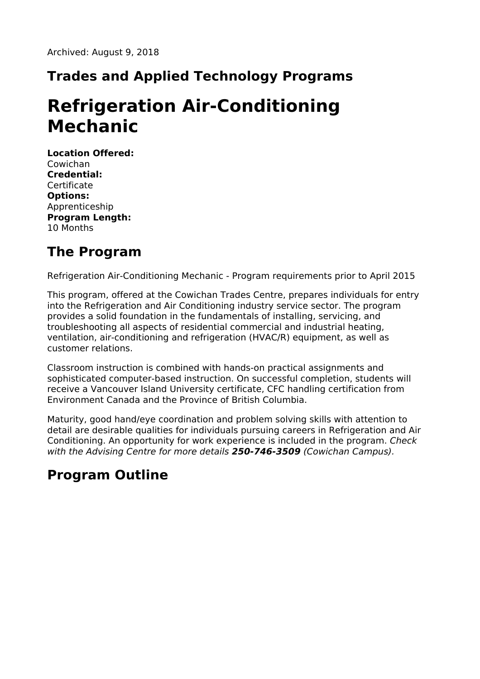## **Trades and Applied Technology Programs**

# **Refrigeration Air-Conditioning Mechanic**

**Location Offered:** Cowichan **Credential: Certificate Options:** Apprenticeship **Program Length:** 10 Months

#### **The Program**

Refrigeration Air-Conditioning Mechanic - Program requirements prior to April 2015

This program, offered at the Cowichan Trades Centre, prepares individuals for entry into the Refrigeration and Air Conditioning industry service sector. The program provides a solid foundation in the fundamentals of installing, servicing, and troubleshooting all aspects of residential commercial and industrial heating, ventilation, air-conditioning and refrigeration (HVAC/R) equipment, as well as customer relations.

Classroom instruction is combined with hands-on practical assignments and sophisticated computer-based instruction. On successful completion, students will receive a Vancouver Island University certificate, CFC handling certification from Environment Canada and the Province of British Columbia.

Maturity, good hand/eye coordination and problem solving skills with attention to detail are desirable qualities for individuals pursuing careers in Refrigeration and Air Conditioning. An opportunity for work experience is included in the program. Check with the Advising Centre for more details **250-746-3509** (Cowichan Campus).

## **Program Outline**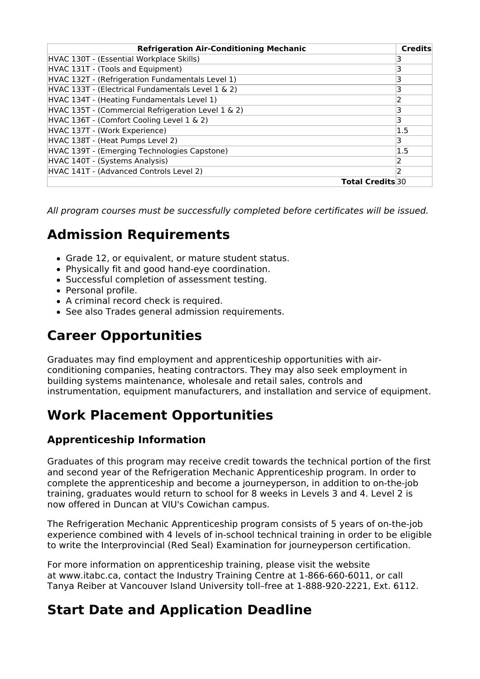| <b>Refrigeration Air-Conditioning Mechanic</b>     | <b>Credits</b> |
|----------------------------------------------------|----------------|
| HVAC 130T - (Essential Workplace Skills)           |                |
| HVAC 131T - (Tools and Equipment)                  |                |
| HVAC 132T - (Refrigeration Fundamentals Level 1)   |                |
| HVAC 133T - (Electrical Fundamentals Level 1 & 2)  | 3              |
| HVAC 134T - (Heating Fundamentals Level 1)         | 2              |
| HVAC 135T - (Commercial Refrigeration Level 1 & 2) | 3              |
| HVAC 136T - (Comfort Cooling Level 1 & 2)          | 3              |
| HVAC 137T - (Work Experience)                      | 1.5            |
| HVAC 138T - (Heat Pumps Level 2)                   | 3              |
| HVAC 139T - (Emerging Technologies Capstone)       | 1.5            |
| HVAC 140T - (Systems Analysis)                     | 2              |
| HVAC 141T - (Advanced Controls Level 2)            | 2              |
| <b>Total Credits</b> 30                            |                |

All program courses must be successfully completed before certificates will be issued.

## **Admission Requirements**

- Grade 12, or equivalent, or mature student status.
- Physically fit and good hand-eye coordination.
- Successful completion of assessment testing.
- Personal profile.
- A criminal record check is required.
- See also Trades general admission requirements.

## **Career Opportunities**

Graduates may find employment and apprenticeship opportunities with airconditioning companies, heating contractors. They may also seek employment in building systems maintenance, wholesale and retail sales, controls and instrumentation, equipment manufacturers, and installation and service of equipment.

### **Work Placement Opportunities**

#### **Apprenticeship Information**

Graduates of this program may receive credit towards the technical portion of the first and second year of the Refrigeration Mechanic Apprenticeship program. In order to complete the apprenticeship and become a journeyperson, in addition to on-the-job training, graduates would return to school for 8 weeks in Levels 3 and 4. Level 2 is now offered in Duncan at VIU's Cowichan campus.

The Refrigeration Mechanic Apprenticeship program consists of 5 years of on-the-job experience combined with 4 levels of in-school technical training in order to be eligible to write the Interprovincial (Red Seal) Examination for journeyperson certification.

For more information on apprenticeship training, please visit the website at www.itabc.ca, contact the Industry Training Centre at 1-866-660-6011, or call Tanya Reiber at Vancouver Island University toll–free at 1-888-920-2221, Ext. 6112.

#### **Start Date and Application Deadline**